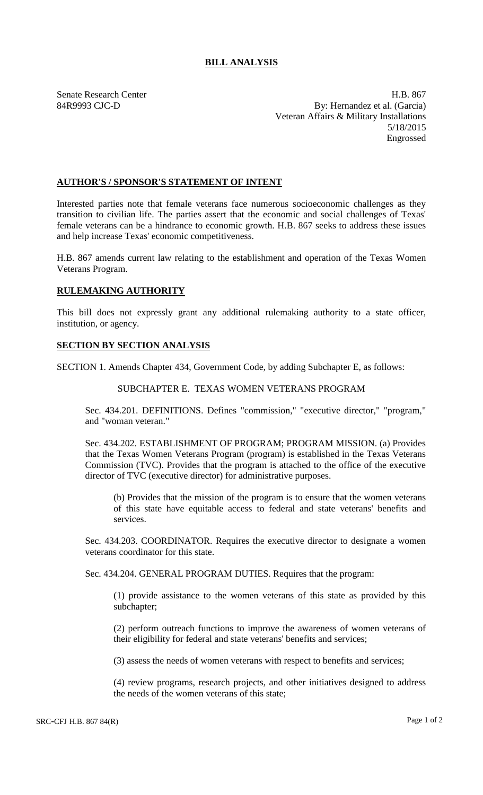# **BILL ANALYSIS**

Senate Research Center **H.B.** 867 84R9993 CJC-D By: Hernandez et al. (Garcia) Veteran Affairs & Military Installations 5/18/2015 Engrossed

## **AUTHOR'S / SPONSOR'S STATEMENT OF INTENT**

Interested parties note that female veterans face numerous socioeconomic challenges as they transition to civilian life. The parties assert that the economic and social challenges of Texas' female veterans can be a hindrance to economic growth. H.B. 867 seeks to address these issues and help increase Texas' economic competitiveness.

H.B. 867 amends current law relating to the establishment and operation of the Texas Women Veterans Program.

# **RULEMAKING AUTHORITY**

This bill does not expressly grant any additional rulemaking authority to a state officer, institution, or agency.

# **SECTION BY SECTION ANALYSIS**

SECTION 1. Amends Chapter 434, Government Code, by adding Subchapter E, as follows:

## SUBCHAPTER E. TEXAS WOMEN VETERANS PROGRAM

Sec. 434.201. DEFINITIONS. Defines "commission," "executive director," "program," and "woman veteran."

Sec. 434.202. ESTABLISHMENT OF PROGRAM; PROGRAM MISSION. (a) Provides that the Texas Women Veterans Program (program) is established in the Texas Veterans Commission (TVC). Provides that the program is attached to the office of the executive director of TVC (executive director) for administrative purposes.

(b) Provides that the mission of the program is to ensure that the women veterans of this state have equitable access to federal and state veterans' benefits and services.

Sec. 434.203. COORDINATOR. Requires the executive director to designate a women veterans coordinator for this state.

Sec. 434.204. GENERAL PROGRAM DUTIES. Requires that the program:

(1) provide assistance to the women veterans of this state as provided by this subchapter;

(2) perform outreach functions to improve the awareness of women veterans of their eligibility for federal and state veterans' benefits and services;

(3) assess the needs of women veterans with respect to benefits and services;

(4) review programs, research projects, and other initiatives designed to address the needs of the women veterans of this state;